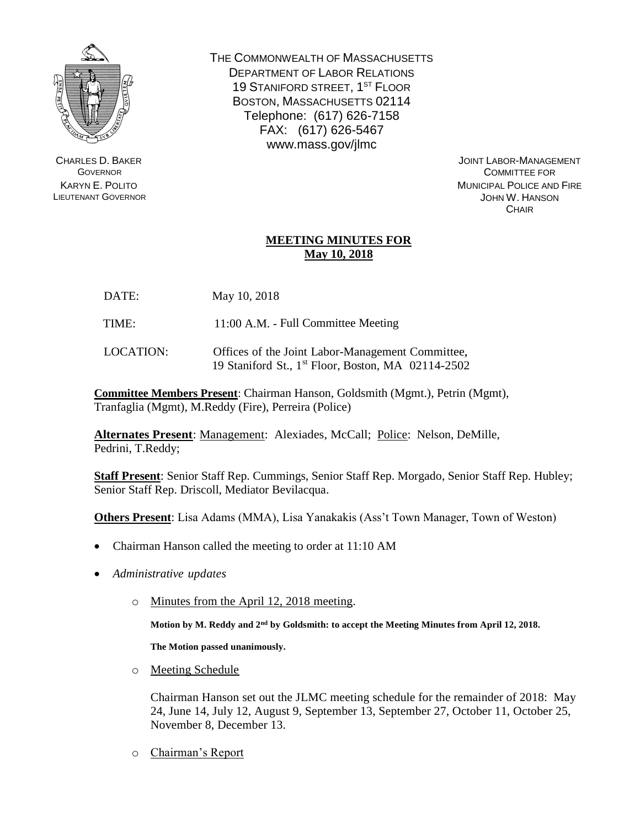

CHARLES D. BAKER **GOVERNOR** KARYN E. POLITO LIEUTENANT GOVERNOR THE COMMONWEALTH OF MASSACHUSETTS DEPARTMENT OF LABOR RELATIONS 19 STANIFORD STREET, 1<sup>ST</sup> FLOOR BOSTON, MASSACHUSETTS 02114 Telephone: (617) 626-7158 FAX: (617) 626-5467 www.mass.gov/jlmc

> JOINT LABOR-MANAGEMENT COMMITTEE FOR MUNICIPAL POLICE AND FIRE JOHN W. HANSON **CHAIR**

## **MEETING MINUTES FOR May 10, 2018**

- DATE: May 10, 2018
- TIME: 11:00 A.M. Full Committee Meeting
- LOCATION: Offices of the Joint Labor-Management Committee, 19 Staniford St., 1 st Floor, Boston, MA 02114-2502

**Committee Members Present**: Chairman Hanson, Goldsmith (Mgmt.), Petrin (Mgmt), Tranfaglia (Mgmt), M.Reddy (Fire), Perreira (Police)

**Alternates Present**: Management: Alexiades, McCall; Police: Nelson, DeMille, Pedrini, T.Reddy;

**Staff Present**: Senior Staff Rep. Cummings, Senior Staff Rep. Morgado, Senior Staff Rep. Hubley; Senior Staff Rep. Driscoll, Mediator Bevilacqua.

**Others Present**: Lisa Adams (MMA), Lisa Yanakakis (Ass't Town Manager, Town of Weston)

- Chairman Hanson called the meeting to order at 11:10 AM
- *Administrative updates*
	- o Minutes from the April 12, 2018 meeting.

**Motion by M. Reddy and 2nd by Goldsmith: to accept the Meeting Minutes from April 12, 2018.** 

**The Motion passed unanimously.**

o Meeting Schedule

Chairman Hanson set out the JLMC meeting schedule for the remainder of 2018: May 24, June 14, July 12, August 9, September 13, September 27, October 11, October 25, November 8, December 13.

o Chairman's Report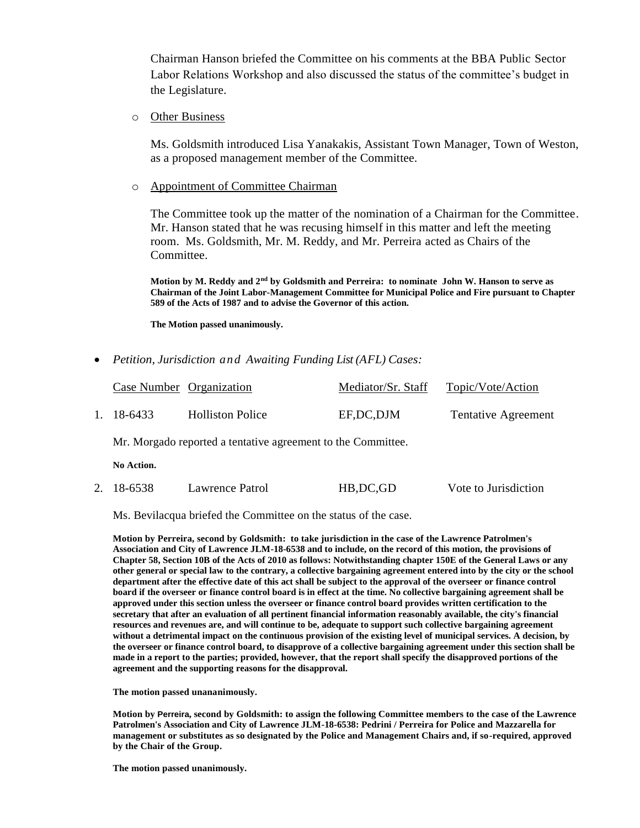Chairman Hanson briefed the Committee on his comments at the BBA Public Sector Labor Relations Workshop and also discussed the status of the committee's budget in the Legislature.

o Other Business

Ms. Goldsmith introduced Lisa Yanakakis, Assistant Town Manager, Town of Weston, as a proposed management member of the Committee.

o Appointment of Committee Chairman

The Committee took up the matter of the nomination of a Chairman for the Committee. Mr. Hanson stated that he was recusing himself in this matter and left the meeting room. Ms. Goldsmith, Mr. M. Reddy, and Mr. Perreira acted as Chairs of the Committee.

**Motion by M. Reddy and 2nd by Goldsmith and Perreira: to nominate John W. Hanson to serve as Chairman of the Joint Labor-Management Committee for Municipal Police and Fire pursuant to Chapter 589 of the Acts of 1987 and to advise the Governor of this action.** 

**The Motion passed unanimously.**

*Petition, Jurisdiction and Awaiting Funding List (AFL) Cases:*

|              | Case Number Organization                                     |                         | Mediator/Sr. Staff | Topic/Vote/Action          |
|--------------|--------------------------------------------------------------|-------------------------|--------------------|----------------------------|
| $\mathbf{1}$ | 18-6433                                                      | <b>Holliston Police</b> | EF, DC, DJM        | <b>Tentative Agreement</b> |
|              | Mr. Morgado reported a tentative agreement to the Committee. |                         |                    |                            |
|              | No Action.                                                   |                         |                    |                            |
| $2^{\circ}$  | 18-6538                                                      | Lawrence Patrol         | HB, DC, GD         | Vote to Jurisdiction       |

Ms. Bevilacqua briefed the Committee on the status of the case.

**Motion by Perreira, second by Goldsmith: to take jurisdiction in the case of the Lawrence Patrolmen's Association and City of Lawrence JLM-18-6538 and to include, on the record of this motion, the provisions of Chapter 58, Section 10B of the Acts of 2010 as follows: Notwithstanding chapter 150E of the General Laws or any other general or special law to the contrary, a collective bargaining agreement entered into by the city or the school department after the effective date of this act shall be subject to the approval of the overseer or finance control board if the overseer or finance control board is in effect at the time. No collective bargaining agreement shall be approved under this section unless the overseer or finance control board provides written certification to the secretary that after an evaluation of all pertinent financial information reasonably available, the city's financial resources and revenues are, and will continue to be, adequate to support such collective bargaining agreement without a detrimental impact on the continuous provision of the existing level of municipal services. A decision, by the overseer or finance control board, to disapprove of a collective bargaining agreement under this section shall be made in a report to the parties; provided, however, that the report shall specify the disapproved portions of the agreement and the supporting reasons for the disapproval.**

**The motion passed unananimously.**

**Motion by Perreira, second by Goldsmith: to assign the following Committee members to the case of the Lawrence Patrolmen's Association and City of Lawrence JLM-18-6538: Pedrini / Perreira for Police and Mazzarella for management or substitutes as so designated by the Police and Management Chairs and, if so-required, approved by the Chair of the Group.** 

**The motion passed unanimously.**